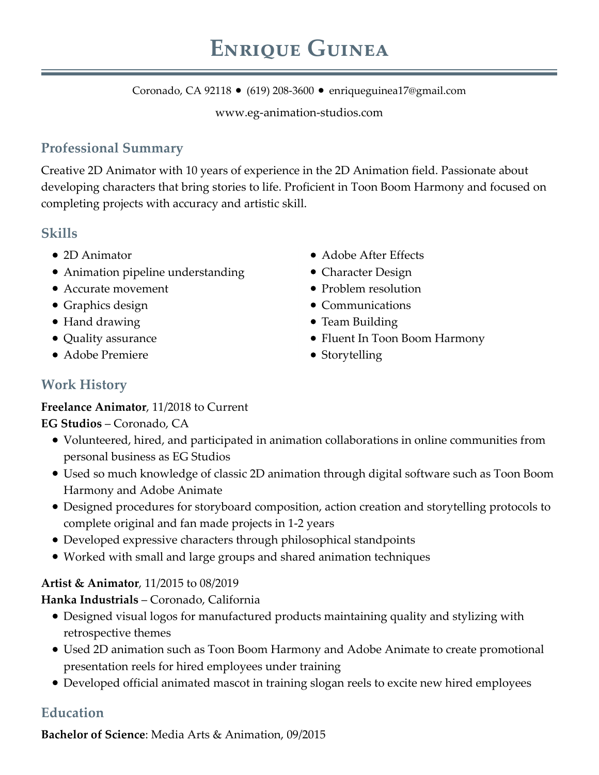Coronado, CA 92118 • (619) 208-3600 • enriqueguinea17@gmail.com

www.eg-animation-studios.com

## **Professional Summary**

Creative 2D Animator with 10 years of experience in the 2D Animation field. Passionate about developing characters that bring stories to life. Proficient in Toon Boom Harmony and focused on completing projects with accuracy and artistic skill.

### **Skills**

- 2D Animator
- Animation pipeline understanding
- Accurate movement
- Graphics design
- Hand drawing
- Quality assurance
- Adobe Premiere
- Adobe After Effects
- Character Design
- Problem resolution
- Communications
- Team Building
- Fluent In Toon Boom Harmony
- Storytelling

# **Work History**

#### **Freelance Animator**, 11/2018 to Current

**EG Studios** – Coronado, CA

- Volunteered, hired, and participated in animation collaborations in online communities from personal business as EG Studios
- Used so much knowledge of classic 2D animation through digital software such as Toon Boom Harmony and Adobe Animate
- Designed procedures for storyboard composition, action creation and storytelling protocols to complete original and fan made projects in 1-2 years
- Developed expressive characters through philosophical standpoints
- Worked with small and large groups and shared animation techniques

#### **Artist & Animator**, 11/2015 to 08/2019

#### **Hanka Industrials** – Coronado, California

- Designed visual logos for manufactured products maintaining quality and stylizing with retrospective themes
- Used 2D animation such as Toon Boom Harmony and Adobe Animate to create promotional presentation reels for hired employees under training
- Developed official animated mascot in training slogan reels to excite new hired employees

# **Education**

**Bachelor of Science**: Media Arts & Animation, 09/2015